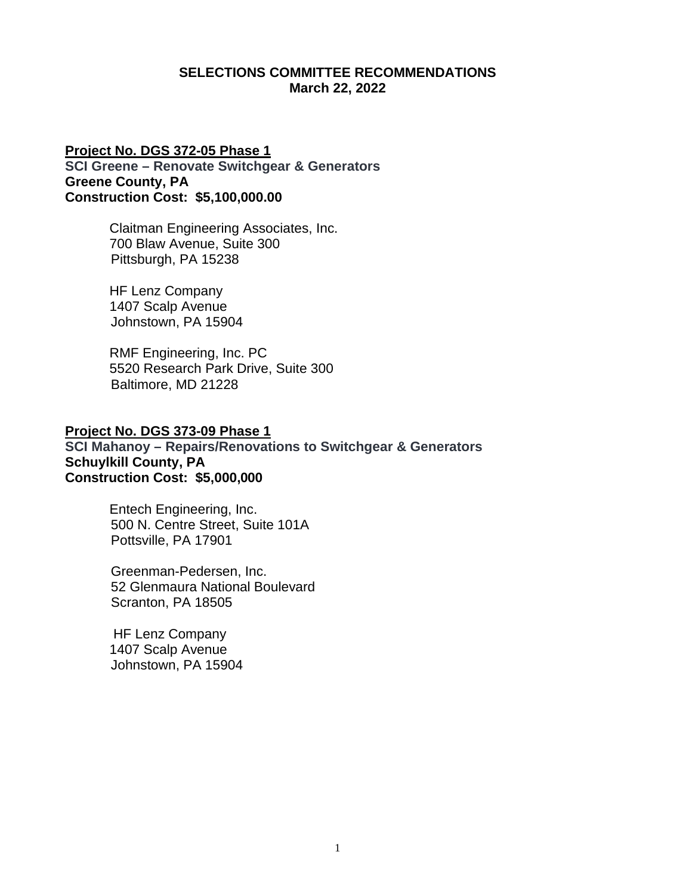### **SELECTIONS COMMITTEE RECOMMENDATIONS March 22, 2022**

# **Project No. DGS 372-05 Phase 1 SCI Greene – Renovate Switchgear & Generators Greene County, PA Construction Cost: \$5,100,000.00**

Claitman Engineering Associates, Inc. 700 Blaw Avenue, Suite 300 Pittsburgh, PA 15238

HF Lenz Company 1407 Scalp Avenue Johnstown, PA 15904

RMF Engineering, Inc. PC 5520 Research Park Drive, Suite 300 Baltimore, MD 21228

## **Project No. DGS 373-09 Phase 1**

**SCI Mahanoy – Repairs/Renovations to Switchgear & Generators Schuylkill County, PA Construction Cost: \$5,000,000**

> Entech Engineering, Inc. 500 N. Centre Street, Suite 101A Pottsville, PA 17901

Greenman-Pedersen, Inc. 52 Glenmaura National Boulevard Scranton, PA 18505

 HF Lenz Company 1407 Scalp Avenue Johnstown, PA 15904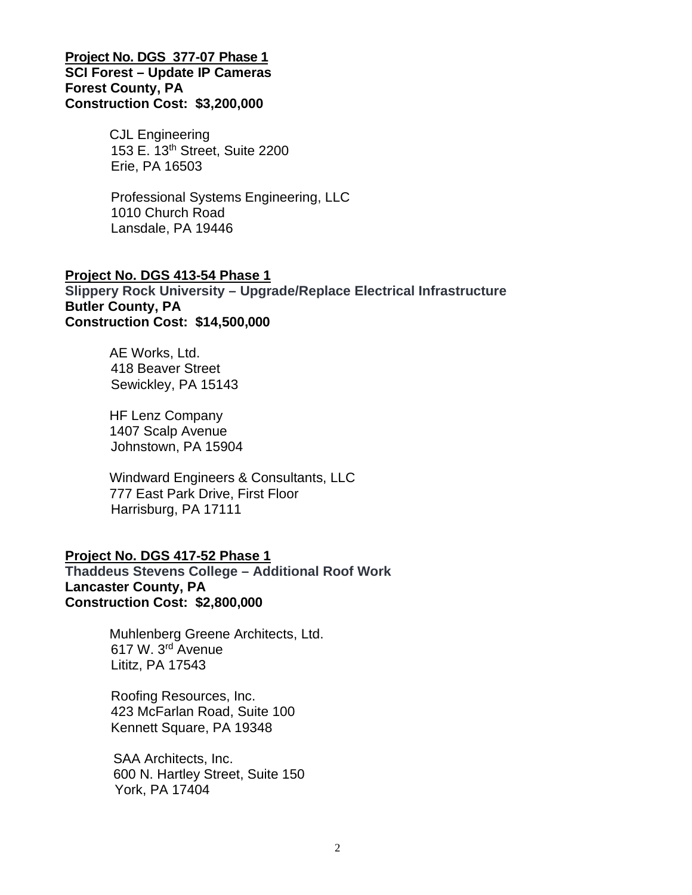## **Project No. DGS 377-07 Phase 1 SCI Forest – Update IP Cameras Forest County, PA Construction Cost: \$3,200,000**

CJL Engineering 153 E. 13th Street, Suite 2200 Erie, PA 16503

Professional Systems Engineering, LLC 1010 Church Road Lansdale, PA 19446

## **Project No. DGS 413-54 Phase 1 Slippery Rock University – Upgrade/Replace Electrical Infrastructure Butler County, PA Construction Cost: \$14,500,000**

AE Works, Ltd. 418 Beaver Street Sewickley, PA 15143

HF Lenz Company 1407 Scalp Avenue Johnstown, PA 15904

Windward Engineers & Consultants, LLC 777 East Park Drive, First Floor Harrisburg, PA 17111

# **Project No. DGS 417-52 Phase 1**

**Thaddeus Stevens College – Additional Roof Work Lancaster County, PA Construction Cost: \$2,800,000**

> Muhlenberg Greene Architects, Ltd. 617 W. 3rd Avenue Lititz, PA 17543

Roofing Resources, Inc. 423 McFarlan Road, Suite 100 Kennett Square, PA 19348

 SAA Architects, Inc. 600 N. Hartley Street, Suite 150 York, PA 17404